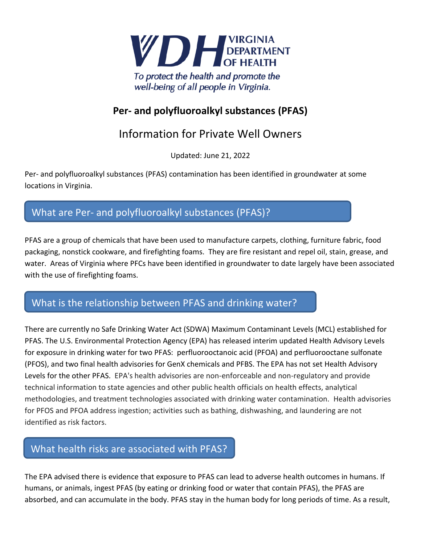

### **Per- and polyfluoroalkyl substances (PFAS)**

## Information for Private Well Owners

Updated: June 21, 2022

Per- and polyfluoroalkyl substances (PFAS) contamination has been identified in groundwater at some locations in Virginia.

# What are Per- and polyfluoroalkyl substances (PFAS)?

PFAS are a group of chemicals that have been used to manufacture carpets, clothing, furniture fabric, food packaging, nonstick cookware, and firefighting foams. They are fire resistant and repel oil, stain, grease, and water. Areas of Virginia where PFCs have been identified in groundwater to date largely have been associated with the use of firefighting foams.

#### What is the relationship between PFAS and drinking water?

There are currently no Safe Drinking Water Act (SDWA) Maximum Contaminant Levels (MCL) established for PFAS. The U.S. Environmental Protection Agency (EPA) has released interim updated Health Advisory Levels for exposure in drinking water for two PFAS: perfluorooctanoic acid (PFOA) and perfluorooctane sulfonate (PFOS), and two final health advisories for GenX chemicals and PFBS. The EPA has not set Health Advisory Levels for the other PFAS. EPA's health advisories are non-enforceable and non-regulatory and provide technical information to state agencies and other public health officials on health effects, analytical methodologies, and treatment technologies associated with drinking water contamination. Health advisories for PFOS and PFOA address ingestion; activities such as bathing, dishwashing, and laundering are not identified as risk factors.

#### What health risks are associated with PFAS?

The EPA advised there is evidence that exposure to PFAS can lead to adverse health outcomes in humans. If humans, or animals, ingest PFAS (by eating or drinking food or water that contain PFAS), the PFAS are absorbed, and can accumulate in the body. PFAS stay in the human body for long periods of time. As a result,